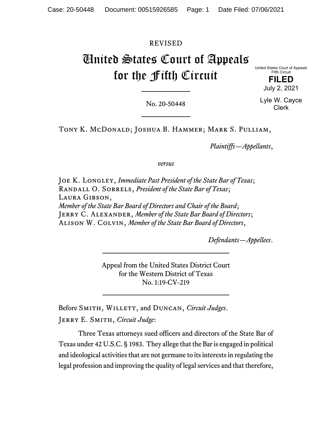# REVISED

# United States Court of Appeals for the Fifth Circuit

United States Court of Appeals Fifth Circuit

> **FILED** July 2, 2021

No. 20-50448

Lyle W. Cayce Clerk

Tony K. McDonald; Joshua B. Hammer; Mark S. Pulliam,

*Plaintiffs—Appellants*,

*versus*

Joe K. Longley, *Immediate Past President of the State Bar of Texas*; Randall O. Sorrels, *President of the State Bar of Texas*; Laura Gibson, *Member of the State Bar Board of Directors and Chair of the Board*; Jerry C. Alexander, *Member of the State Bar Board of Directors*; Alison W. Colvin, *Member of the State Bar Board of Directors*,

*Defendants—Appellees*.

Appeal from the United States District Court for the Western District of Texas No. 1:19-CV-219

Before SMITH, WILLETT, and DUNCAN, *Circuit Judges*.

Jerry E. Smith, *Circuit Judge*:

Three Texas attorneys sued officers and directors of the State Bar of Texas under 42 U.S.C. § 1983. They allege that the Bar is engaged in political and ideological activities that are not germane to its interests in regulating the legal profession and improving the quality of legal services and that therefore,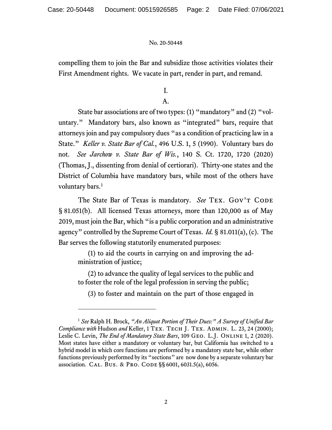compelling them to join the Bar and subsidize those activities violates their First Amendment rights. We vacate in part, render in part, and remand.

I.

A.

State bar associations are of two types: (1) "mandatory" and (2) "voluntary." Mandatory bars, also known as "integrated" bars, require that attorneys join and pay compulsory dues "as a condition of practicing law in a State." *Keller v. State Bar of Cal.*, 496 U.S. 1, 5 (1990). Voluntary bars do not. *See Jarchow v. State Bar of Wis.*, 140 S. Ct. 1720, 1720 (2020) (Thomas, J., dissenting from denial of certiorari). Thirty-one states and the District of Columbia have mandatory bars, while most of the others have voluntary bars. [1](#page-1-0)

The State Bar of Texas is mandatory. *See* TEX. GOV'T CODE § 81.051(b). All licensed Texas attorneys, more than 120,000 as of May 2019, must join the Bar, which "is a public corporation and an administrative agency" controlled by the Supreme Court of Texas. *Id.* § 81.011(a), (c). The Bar serves the following statutorily enumerated purposes:

(1) to aid the courts in carrying on and improving the administration of justice;

(2) to advance the quality of legal services to the public and to foster the role of the legal profession in serving the public;

(3) to foster and maintain on the part of those engaged in

<span id="page-1-0"></span><sup>1</sup> *See* Ralph H. Brock, *"An Aliquot Portion of Their Dues:" A Survey of Unified Bar Compliance with Hudson and Keller, 1 TEX. TECH J. TEX. ADMIN. L. 23, 24 (2000);* Leslie C. Levin, *The End of Mandatory State Bars*, 109 GEO. L.J. ONLINE 1, 2 (2020). Most states have either a mandatory or voluntary bar, but California has switched to a hybrid model in which core functions are performed by a mandatory state bar, while other functions previously performed by its "sections" are now done by a separate voluntary bar association. CAL. BUS. & PRO. CODE §§ 6001, 6031.5(a), 6056.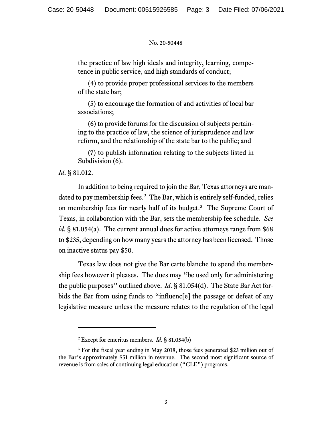the practice of law high ideals and integrity, learning, competence in public service, and high standards of conduct;

(4) to provide proper professional services to the members of the state bar;

(5) to encourage the formation of and activities of local bar associations;

(6) to provide forums for the discussion of subjects pertaining to the practice of law, the science of jurisprudence and law reform, and the relationship of the state bar to the public; and

(7) to publish information relating to the subjects listed in Subdivision  $(6)$ .

# *Id*. § 81.012.

In addition to being required to join the Bar, Texas attorneys are man-dated to pay membership fees.<sup>[2](#page-2-0)</sup> The Bar, which is entirely self-funded, relies on membership fees for nearly half of its budget. [3](#page-2-1) The Supreme Court of Texas, in collaboration with the Bar, sets the membership fee schedule. *See id*. § 81.054(a). The current annual dues for active attorneys range from \$68 to \$235, depending on how many years the attorney has been licensed. Those on inactive status pay \$50.

Texas law does not give the Bar carte blanche to spend the membership fees however it pleases. The dues may "be used only for administering the public purposes" outlined above. *Id*. § 81.054(d). The State Bar Act forbids the Bar from using funds to "influenc[e] the passage or defeat of any legislative measure unless the measure relates to the regulation of the legal

<sup>2</sup> Except for emeritus members. *Id.* § 81.054(b)

<span id="page-2-1"></span><span id="page-2-0"></span><sup>&</sup>lt;sup>3</sup> For the fiscal year ending in May 2018, those fees generated \$23 million out of the Bar's approximately \$51 million in revenue. The second most significant source of revenue is from sales of continuing legal education ("CLE") programs.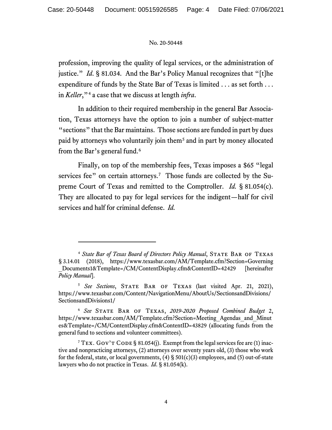profession, improving the quality of legal services, or the administration of justice." *Id*. § 81.034. And the Bar's Policy Manual recognizes that "[t]he expenditure of funds by the State Bar of Texas is limited . . . as set forth . . . in *Keller*,"[4](#page-3-0) a case that we discuss at length *infra*.

In addition to their required membership in the general Bar Association, Texas attorneys have the option to join a number of subject-matter "sections" that the Bar maintains. Those sections are funded in part by dues paid by attorneys who voluntarily join them[5](#page-3-1) and in part by money allocated from the Bar's general fund.<sup>[6](#page-3-2)</sup>

Finally, on top of the membership fees, Texas imposes a \$65 "legal" services fee" on certain attorneys.<sup>[7](#page-3-3)</sup> Those funds are collected by the Supreme Court of Texas and remitted to the Comptroller. *Id.* § 81.054(c). They are allocated to pay for legal services for the indigent—half for civil services and half for criminal defense. *Id.*

<span id="page-3-0"></span><sup>&</sup>lt;sup>4</sup> State Bar of Texas Board of Directors Policy Manual, STATE BAR OF TEXAS § 3.14.01 (2018), https://www.texasbar.com/AM/Template.cfm?Section=Governing \_Documents1&Template=/CM/ContentDisplay.cfm&ContentID=42429 [hereinafter *Policy Manual*].

<span id="page-3-1"></span><sup>&</sup>lt;sup>5</sup> See Sections, STATE BAR OF TEXAS (last visited Apr. 21, 2021), https://www.texasbar.com/Content/NavigationMenu/AboutUs/SectionsandDivisions/ SectionsandDivisions1/

<span id="page-3-2"></span><sup>6</sup> *See* State Bar of Texas, *2019-2020 Proposed Combined Budget* 2, https://www.texasbar.com/AM/Template.cfm?Section=Meeting\_Agendas\_and\_Minut es&Template=/CM/ContentDisplay.cfm&ContentID=43829 (allocating funds from the general fund to sections and volunteer committees).

<span id="page-3-3"></span><sup>&</sup>lt;sup>7</sup> TEX. GOV'T CODE § 81.054(j). Exempt from the legal services fee are (1) inactive and nonpracticing attorneys, (2) attorneys over seventy years old, (3) those who work for the federal, state, or local governments,  $(4)$  § 501(c)(3) employees, and (5) out-of-state lawyers who do not practice in Texas. *Id*. § 81.054(k).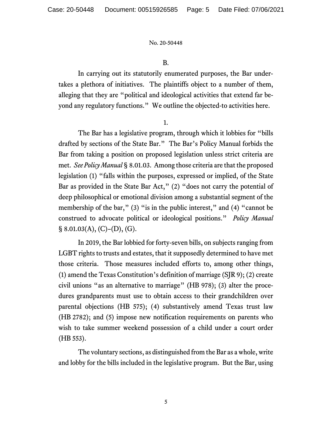## B.

In carrying out its statutorily enumerated purposes, the Bar undertakes a plethora of initiatives. The plaintiffs object to a number of them, alleging that they are "political and ideological activities that extend far beyond any regulatory functions." We outline the objected-to activities here.

1.

The Bar has a legislative program, through which it lobbies for "bills drafted by sections of the State Bar." The Bar's Policy Manual forbids the Bar from taking a position on proposed legislation unless strict criteria are met. *See Policy Manual* § 8.01.03. Among those criteria are that the proposed legislation (1) "falls within the purposes, expressed or implied, of the State Bar as provided in the State Bar Act," (2) "does not carry the potential of deep philosophical or emotional division among a substantial segment of the membership of the bar," (3) "is in the public interest," and (4) "cannot be construed to advocate political or ideological positions." *Policy Manual*   $\S$  8.01.03(A), (C)-(D), (G).

In 2019, the Bar lobbied for forty-seven bills, on subjects ranging from LGBT rights to trusts and estates, that it supposedly determined to have met those criteria. Those measures included efforts to, among other things, (1) amend the Texas Constitution's definition of marriage (SJR 9); (2) create civil unions "as an alternative to marriage" (HB 978); (3) alter the procedures grandparents must use to obtain access to their grandchildren over parental objections (HB 575); (4) substantively amend Texas trust law (HB 2782); and (5) impose new notification requirements on parents who wish to take summer weekend possession of a child under a court order (HB 553).

The voluntary sections, as distinguished from the Bar as a whole, write and lobby for the bills included in the legislative program. But the Bar, using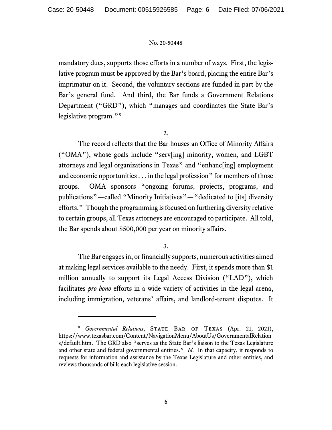mandatory dues, supports those efforts in a number of ways. First, the legislative program must be approved by the Bar's board, placing the entire Bar's imprimatur on it. Second, the voluntary sections are funded in part by the Bar's general fund. And third, the Bar funds a Government Relations Department ("GRD"), which "manages and coordinates the State Bar's legislative program."<sup>[8](#page-5-0)</sup>

2.

The record reflects that the Bar houses an Office of Minority Affairs ("OMA"), whose goals include "serv[ing] minority, women, and LGBT attorneys and legal organizations in Texas" and "enhanc[ing] employment and economic opportunities . . . in the legal profession" for members of those groups. OMA sponsors "ongoing forums, projects, programs, and publications"—called "Minority Initiatives"—"dedicated to [its] diversity efforts." Though the programming is focused on furthering diversity relative to certain groups, all Texas attorneys are encouraged to participate. All told, the Bar spends about \$500,000 per year on minority affairs.

# 3.

The Bar engages in, or financially supports, numerous activities aimed at making legal services available to the needy. First, it spends more than \$1 million annually to support its Legal Access Division ("LAD"), which facilitates *pro bono* efforts in a wide variety of activities in the legal arena, including immigration, veterans' affairs, and landlord-tenant disputes. It

<span id="page-5-0"></span><sup>&</sup>lt;sup>8</sup> *Governmental Relations*, STATE BAR OF TEXAS (Apr. 21, 2021), https://www.texasbar.com/Content/NavigationMenu/AboutUs/GovernmentalRelation s/default.htm. The GRD also "serves as the State Bar's liaison to the Texas Legislature and other state and federal governmental entities." *Id.* In that capacity, it responds to requests for information and assistance by the Texas Legislature and other entities, and reviews thousands of bills each legislative session.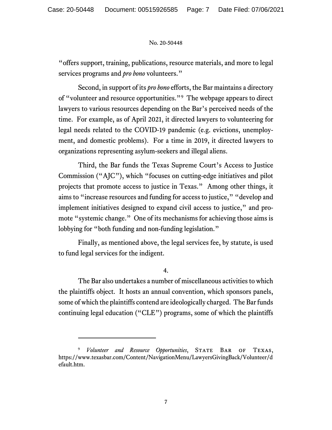"offers support, training, publications, resource materials, and more to legal services programs and *pro bono* volunteers."

Second, in support of its *pro bono* efforts, the Bar maintains a directory of "volunteer and resource opportunities."[9](#page-6-0) The webpage appears to direct lawyers to various resources depending on the Bar's perceived needs of the time. For example, as of April 2021, it directed lawyers to volunteering for legal needs related to the COVID-19 pandemic (e.g. evictions, unemployment, and domestic problems). For a time in 2019, it directed lawyers to organizations representing asylum-seekers and illegal aliens.

Third, the Bar funds the Texas Supreme Court's Access to Justice Commission ("AJC"), which "focuses on cutting-edge initiatives and pilot projects that promote access to justice in Texas." Among other things, it aims to "increase resources and funding for access to justice," "develop and implement initiatives designed to expand civil access to justice," and promote "systemic change." One of its mechanisms for achieving those aims is lobbying for "both funding and non-funding legislation."

Finally, as mentioned above, the legal services fee, by statute, is used to fund legal services for the indigent.

4.

The Bar also undertakes a number of miscellaneous activities to which the plaintiffs object. It hosts an annual convention, which sponsors panels, some of which the plaintiffs contend are ideologically charged. The Bar funds continuing legal education ("CLE") programs, some of which the plaintiffs

<span id="page-6-0"></span>*Volunteer and Resource Opportunities*, STATE BAR OF TEXAS, https://www.texasbar.com/Content/NavigationMenu/LawyersGivingBack/Volunteer/d efault.htm.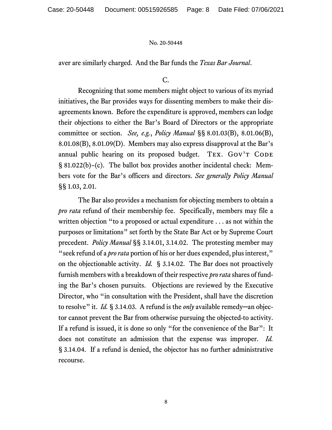aver are similarly charged. And the Bar funds the *Texas Bar Journal*.

# C.

Recognizing that some members might object to various of its myriad initiatives, the Bar provides ways for dissenting members to make their disagreements known. Before the expenditure is approved, members can lodge their objections to either the Bar's Board of Directors or the appropriate committee or section. *See, e.g.*, *Policy Manual* §§ 8.01.03(B), 8.01.06(B), 8.01.08(B), 8.01.09(D). Members may also express disapproval at the Bar's annual public hearing on its proposed budget. TEX. GOV'T CODE § 81.022(b)–(c). The ballot box provides another incidental check: Members vote for the Bar's officers and directors. *See generally Policy Manual*  §§ 1.03, 2.01.

The Bar also provides a mechanism for objecting members to obtain a *pro rata* refund of their membership fee. Specifically, members may file a written objection "to a proposed or actual expenditure . . . as not within the purposes or limitations" set forth by the State Bar Act or by Supreme Court precedent. *Policy Manual* §§ 3.14.01, 3.14.02. The protesting member may "seek refund of a *pro rata* portion of his or her dues expended, plus interest," on the objectionable activity. *Id.* § 3.14.02. The Bar does not proactively furnish members with a breakdown of their respective *pro rata* shares of funding the Bar's chosen pursuits. Objections are reviewed by the Executive Director, who "in consultation with the President, shall have the discretion to resolve" it. *Id.* § 3.14.03. A refund is the *only* available remedy─an objector cannot prevent the Bar from otherwise pursuing the objected-to activity. If a refund is issued, it is done so only "for the convenience of the Bar": It does not constitute an admission that the expense was improper. *Id.* § 3.14.04. If a refund is denied, the objector has no further administrative recourse.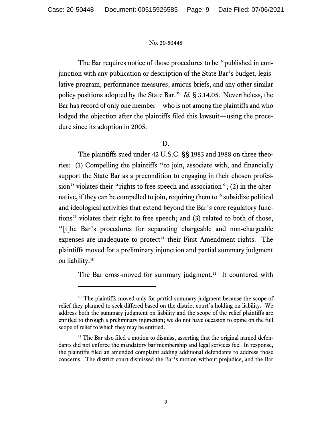The Bar requires notice of those procedures to be "published in conjunction with any publication or description of the State Bar's budget, legislative program, performance measures, amicus briefs, and any other similar policy positions adopted by the State Bar." *Id.* § 3.14.05. Nevertheless, the Bar has record of only one member—who is not among the plaintiffs and who lodged the objection after the plaintiffs filed this lawsuit—using the procedure since its adoption in 2005.

# D.

The plaintiffs sued under 42 U.S.C. §§ 1983 and 1988 on three theories: (1) Compelling the plaintiffs "to join, associate with, and financially support the State Bar as a precondition to engaging in their chosen profession" violates their "rights to free speech and association"; (2) in the alternative, if they can be compelled to join, requiring them to "subsidize political and ideological activities that extend beyond the Bar's core regulatory functions" violates their right to free speech; and (3) related to both of those, "[t]he Bar's procedures for separating chargeable and non-chargeable expenses are inadequate to protect" their First Amendment rights. The plaintiffs moved for a preliminary injunction and partial summary judgment on liability[.10](#page-8-0)

The Bar cross-moved for summary judgment.<sup>[11](#page-8-1)</sup> It countered with

<span id="page-8-0"></span><sup>&</sup>lt;sup>10</sup> The plaintiffs moved only for partial summary judgment because the scope of relief they planned to seek differed based on the district court's holding on liability. We address both the summary judgment on liability and the scope of the relief plaintiffs are entitled to through a preliminary injunction; we do not have occasion to opine on the full scope of relief to which they may be entitled.

<span id="page-8-1"></span> $11$  The Bar also filed a motion to dismiss, asserting that the original named defendants did not enforce the mandatory bar membership and legal services fee. In response, the plaintiffs filed an amended complaint adding additional defendants to address those concerns. The district court dismissed the Bar's motion without prejudice, and the Bar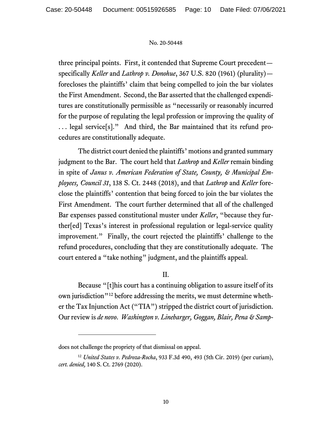three principal points. First, it contended that Supreme Court precedent specifically *Keller* and *Lathrop v. Donohue*, 367 U.S. 820 (1961) (plurality) forecloses the plaintiffs' claim that being compelled to join the bar violates the First Amendment. Second, the Bar asserted that the challenged expenditures are constitutionally permissible as "necessarily or reasonably incurred for the purpose of regulating the legal profession or improving the quality of . . . legal service[s]." And third, the Bar maintained that its refund procedures are constitutionally adequate.

The district court denied the plaintiffs' motions and granted summary judgment to the Bar. The court held that *Lathrop* and *Keller* remain binding in spite of *Janus v. American Federation of State, County, & Municipal Employees, Council 31*, 138 S. Ct. 2448 (2018), and that *Lathrop* and *Keller* foreclose the plaintiffs' contention that being forced to join the bar violates the First Amendment. The court further determined that all of the challenged Bar expenses passed constitutional muster under *Keller*, "because they further[ed] Texas's interest in professional regulation or legal-service quality improvement." Finally, the court rejected the plaintiffs' challenge to the refund procedures, concluding that they are constitutionally adequate. The court entered a "take nothing" judgment, and the plaintiffs appeal.

# II.

Because "[t]his court has a continuing obligation to assure itself of its own jurisdiction"[12](#page-9-0) before addressing the merits, we must determine whether the Tax Injunction Act ("TIA") stripped the district court of jurisdiction. Our review is *de novo*. *Washington v. Linebarger, Goggan, Blair, Pena & Samp-*

does not challenge the propriety of that dismissal on appeal.

<span id="page-9-0"></span><sup>12</sup> *United States v. Pedroza-Rocha*, 933 F.3d 490, 493 (5th Cir. 2019) (per curiam), *cert. denied,* 140 S. Ct. 2769 (2020).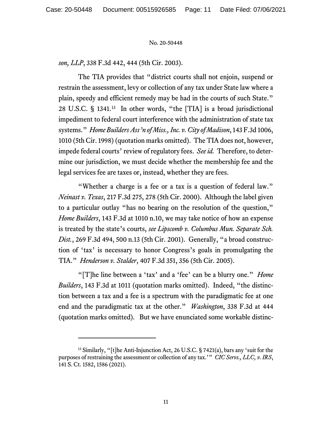*son, LLP*, 338 F.3d 442, 444 (5th Cir. 2003).

The TIA provides that "district courts shall not enjoin, suspend or restrain the assessment, levy or collection of any tax under State law where a plain, speedy and efficient remedy may be had in the courts of such State." 28 U.S.C. § 1341.[13](#page-10-0) In other words, "the [TIA] is a broad jurisdictional impediment to federal court interference with the administration of state tax systems." *Home Builders Ass'n of Miss., Inc. v. City of Madison*, 143 F.3d 1006, 1010 (5th Cir. 1998) (quotation marks omitted). The TIA does not, however, impede federal courts' review of regulatory fees. *See id.* Therefore, to determine our jurisdiction, we must decide whether the membership fee and the legal services fee are taxes or, instead, whether they are fees.

"Whether a charge is a fee or a tax is a question of federal law." *Neinast v. Texas*, 217 F.3d 275, 278 (5th Cir. 2000). Although the label given to a particular outlay "has no bearing on the resolution of the question," *Home Builders*, 143 F.3d at 1010 n.10, we may take notice of how an expense is treated by the state's courts, *see Lipscomb v. Columbus Mun. Separate Sch. Dist.*, 269 F.3d 494, 500 n.13 (5th Cir. 2001). Generally, "a broad construction of 'tax' is necessary to honor Congress's goals in promulgating the TIA." *Henderson v. Stalder*, 407 F.3d 351, 356 (5th Cir. 2005).

"[T]he line between a 'tax' and a 'fee' can be a blurry one." *Home Builders*, 143 F.3d at 1011 (quotation marks omitted). Indeed, "the distinction between a tax and a fee is a spectrum with the paradigmatic fee at one end and the paradigmatic tax at the other." *Washington*, 338 F.3d at 444 (quotation marks omitted). But we have enunciated some workable distinc-

<span id="page-10-0"></span><sup>&</sup>lt;sup>13</sup> Similarly, "[t]he Anti-Injunction Act, 26 U.S.C. § 7421(a), bars any 'suit for the purposes of restraining the assessment or collection of any tax.'" *CIC Servs., LLC, v. IRS*, 141 S. Ct. 1582, 1586 (2021).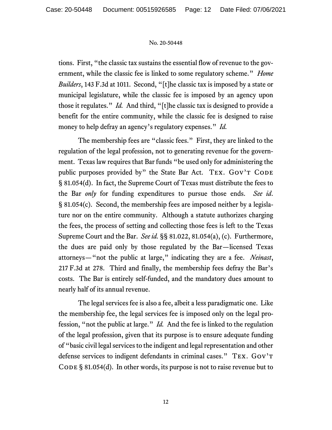tions. First, "the classic tax sustains the essential flow of revenue to the government, while the classic fee is linked to some regulatory scheme." *Home Builders*, 143 F.3d at 1011. Second, "[t]he classic tax is imposed by a state or municipal legislature, while the classic fee is imposed by an agency upon those it regulates." *Id.* And third, "[t]he classic tax is designed to provide a benefit for the entire community, while the classic fee is designed to raise money to help defray an agency's regulatory expenses." *Id.*

The membership fees are "classic fees." First, they are linked to the regulation of the legal profession, not to generating revenue for the government. Texas law requires that Bar funds "be used only for administering the public purposes provided by" the State Bar Act.  $T_{\text{EX}}$ . Gov't CODE § 81.054(d). In fact, the Supreme Court of Texas must distribute the fees to the Bar *only* for funding expenditures to pursue those ends. *See id*. § 81.054(c). Second, the membership fees are imposed neither by a legislature nor on the entire community. Although a statute authorizes charging the fees, the process of setting and collecting those fees is left to the Texas Supreme Court and the Bar. *See id.* §§ 81.022, 81.054(a), (c). Furthermore, the dues are paid only by those regulated by the Bar—licensed Texas attorneys—"not the public at large," indicating they are a fee. *Neinast*, 217 F.3d at 278. Third and finally, the membership fees defray the Bar's costs. The Bar is entirely self-funded, and the mandatory dues amount to nearly half of its annual revenue.

The legal services fee is also a fee, albeit a less paradigmatic one. Like the membership fee, the legal services fee is imposed only on the legal profession, "not the public at large." *Id.* And the fee is linked to the regulation of the legal profession, given that its purpose is to ensure adequate funding of "basic civil legal services to the indigent and legal representation and other defense services to indigent defendants in criminal cases." Tex. Gov't CODE  $\S$  81.054(d). In other words, its purpose is not to raise revenue but to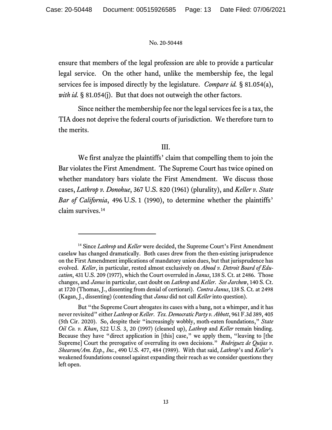ensure that members of the legal profession are able to provide a particular legal service. On the other hand, unlike the membership fee, the legal services fee is imposed directly by the legislature. *Compare id.* § 81.054(a), *with id.* § 81.054(j). But that does not outweigh the other factors.

Since neither the membership fee nor the legal services fee is a tax, the TIA does not deprive the federal courts of jurisdiction. We therefore turn to the merits.

# III.

We first analyze the plaintiffs' claim that compelling them to join the Bar violates the First Amendment. The Supreme Court has twice opined on whether mandatory bars violate the First Amendment. We discuss those cases, *Lathrop v. Donohue*, 367 U.S. 820 (1961) (plurality), and *Keller v. State Bar of California*, 496 U.S. 1 (1990), to determine whether the plaintiffs' claim survives. [14](#page-12-0)

<span id="page-12-0"></span><sup>&</sup>lt;sup>14</sup> Since *Lathrop* and *Keller* were decided, the Supreme Court's First Amendment caselaw has changed dramatically. Both cases drew from the then-existing jurisprudence on the First Amendment implications of mandatory union dues, but that jurisprudence has evolved. *Keller*, in particular, rested almost exclusively on *Abood v. Detroit Board of Education*, 431 U.S. 209 (1977), which the Court overruled in *Janus*, 138 S. Ct. at 2486. Those changes, and *Janus* in particular, cast doubt on *Lathrop* and *Keller*. *See Jarchow*, 140 S. Ct. at 1720 (Thomas, J., dissenting from denial of certiorari). *Contra Janus*, 138 S. Ct. at 2498 (Kagan, J., dissenting) (contending that *Janus* did not call *Keller* into question).

But "the Supreme Court abrogates its cases with a bang, not a whimper, and it has never revisited" either *Lathrop* or *Keller*. *Tex. Democratic Party v. Abbott*, 961 F.3d 389, 405 (5th Cir. 2020). So, despite their "increasingly wobbly, moth-eaten foundations," *State Oil Co. v. Khan*, 522 U.S. 3, 20 (1997) (cleaned up), *Lathrop* and *Keller* remain binding. Because they have "direct application in [this] case," we apply them, "leaving to [the Supreme] Court the prerogative of overruling its own decisions." *Rodriguez de Quijas v. Shearson/Am. Exp., Inc.*, 490 U.S. 477, 484 (1989). With that said, *Lathrop*'s and *Keller*'s weakened foundations counsel against expanding their reach as we consider questions they left open.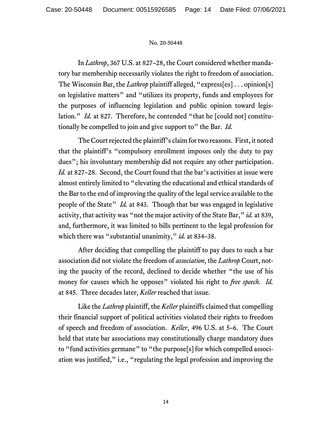In *Lathrop*, 367 U.S. at 827–28, the Court considered whether mandatory bar membership necessarily violates the right to freedom of association. The Wisconsin Bar, the *Lathrop* plaintiff alleged, "express[es] . . . opinion[s] on legislative matters" and "utilizes its property, funds and employees for the purposes of influencing legislation and public opinion toward legislation." *Id.* at 827. Therefore, he contended "that he [could not] constitutionally be compelled to join and give support to" the Bar. *Id.*

The Court rejected the plaintiff's claim for two reasons. First, it noted that the plaintiff's "compulsory enrollment imposes only the duty to pay dues"; his involuntary membership did not require any other participation. *Id.* at 827–28. Second, the Court found that the bar's activities at issue were almost entirely limited to "elevating the educational and ethical standards of the Bar to the end of improving the quality of the legal service available to the people of the State" *Id.* at 843. Though that bar was engaged in legislative activity, that activity was "not the major activity of the State Bar," *id.* at 839, and, furthermore, it was limited to bills pertinent to the legal profession for which there was "substantial unanimity," *id.* at 834–38.

After deciding that compelling the plaintiff to pay dues to such a bar association did not violate the freedom of *association*, the *Lathrop* Court, noting the paucity of the record, declined to decide whether "the use of his money for causes which he opposes" violated his right to *free speech*. *Id.* at 845. Three decades later, *Keller* reached that issue.

Like the *Lathrop* plaintiff, the *Keller* plaintiffs claimed that compelling their financial support of political activities violated their rights to freedom of speech and freedom of association. *Keller*, 496 U.S. at 5–6. The Court held that state bar associations may constitutionally charge mandatory dues to "fund activities germane" to "the purpose[s] for which compelled association was justified," i.e., "regulating the legal profession and improving the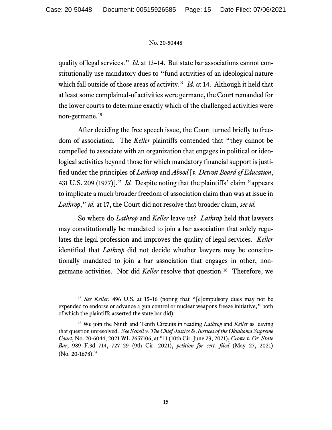quality of legal services." *Id.* at 13–14. But state bar associations cannot constitutionally use mandatory dues to "fund activities of an ideological nature which fall outside of those areas of activity." *Id.* at 14. Although it held that at least some complained-of activities were germane, the Court remanded for the lower courts to determine exactly which of the challenged activities were non-germane.[15](#page-14-0)

After deciding the free speech issue, the Court turned briefly to freedom of association. The *Keller* plaintiffs contended that "they cannot be compelled to associate with an organization that engages in political or ideological activities beyond those for which mandatory financial support is justified under the principles of *Lathrop* and *Abood* [*v. Detroit Board of Education*, 431 U.S. 209 (1977)]." *Id.* Despite noting that the plaintiffs' claim "appears to implicate a much broader freedom of association claim than was at issue in *Lathrop*," *id.* at 17, the Court did not resolve that broader claim, *see id.*

So where do *Lathrop* and *Keller* leave us? *Lathrop* held that lawyers may constitutionally be mandated to join a bar association that solely regulates the legal profession and improves the quality of legal services. *Keller*  identified that *Lathrop* did not decide whether lawyers may be constitutionally mandated to join a bar association that engages in other, nongermane activities. Nor did *Keller* resolve that question.[16](#page-14-1) Therefore, we

<span id="page-14-0"></span><sup>15</sup> *See Keller*, 496 U.S. at 15–16 (noting that "[c]ompulsory dues may not be expended to endorse or advance a gun control or nuclear weapons freeze initiative," both of which the plaintiffs asserted the state bar did).

<span id="page-14-1"></span><sup>16</sup> We join the Ninth and Tenth Circuits in reading *Lathrop* and *Keller* as leaving that question unresolved. *See Schell v. The Chief Justice & Justices of the Oklahoma Supreme Court*, No. 20-6044, 2021 WL 2657106, at \*11 (10th Cir. June 29, 2021); *Crowe v. Or. State Bar*, 989 F.3d 714, 727–29 (9th Cir. 2021), *petition for cert. filed* (May 27, 2021) (No. 20-1678)."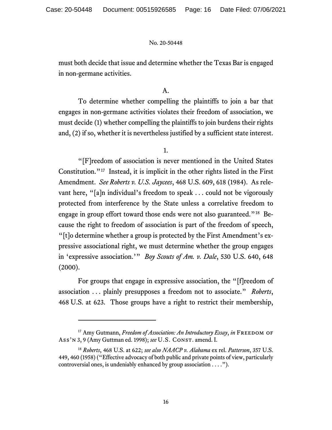must both decide that issue and determine whether the Texas Bar is engaged in non-germane activities.

## A.

To determine whether compelling the plaintiffs to join a bar that engages in non-germane activities violates their freedom of association, we must decide (1) whether compelling the plaintiffs to join burdens their rights and, (2) if so, whether it is nevertheless justified by a sufficient state interest.

## 1.

"[F]reedom of association is never mentioned in the United States Constitution."[17](#page-15-0) Instead, it is implicit in the other rights listed in the First Amendment. *See Roberts v. U.S. Jaycees*, 468 U.S. 609, 618 (1984). As relevant here, "[a]n individual's freedom to speak . . . could not be vigorously protected from interference by the State unless a correlative freedom to engage in group effort toward those ends were not also guaranteed."[18](#page-15-1) Because the right to freedom of association is part of the freedom of speech, "[t]o determine whether a group is protected by the First Amendment's expressive associational right, we must determine whether the group engages in 'expressive association.'" *Boy Scouts of Am. v. Dale*, 530 U.S. 640, 648  $(2000).$ 

For groups that engage in expressive association, the "[f]reedom of association . . . plainly presupposes a freedom not to associate." *Roberts*, 468 U.S. at 623. Those groups have a right to restrict their membership,

<span id="page-15-0"></span><sup>&</sup>lt;sup>17</sup> Amy Gutmann, *Freedom of Association: An Introductory Essay*, *in* FREEDOM OF Ass'n 3, 9 (Amy Guttman ed. 1998); *see* U.S. Const. amend. I.

<span id="page-15-1"></span><sup>18</sup> *Roberts*, 468 U.S. at 622; *see also NAACP v. Alabama* ex rel. *Patterson*, 357 U.S. 449, 460 (1958) ("Effective advocacy of both public and private points of view, particularly controversial ones, is undeniably enhanced by group association . . . .").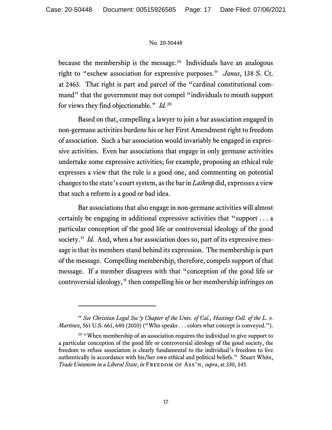because the membership is the message.<sup>19</sup> Individuals have an analogous right to "eschew association for expressive purposes." *Janus*, 138 S. Ct. at 2463. That right is part and parcel of the "cardinal constitutional command" that the government may not compel "individuals to mouth support for views they find objectionable." *Id.*[20](#page-16-1)

Based on that, compelling a lawyer to join a bar association engaged in non-germane activities burdens his or her First Amendment right to freedom of association. Such a bar association would invariably be engaged in expressive activities. Even bar associations that engage in only germane activities undertake some expressive activities; for example, proposing an ethical rule expresses a view that the rule is a good one, and commenting on potential changes to the state's court system, as the bar in *Lathrop* did, expresses a view that such a reform is a good or bad idea.

Bar associations that also engage in non-germane activities will almost certainly be engaging in additional expressive activities that "support . . . a particular conception of the good life or controversial ideology of the good society." *Id.* And, when a bar association does so, part of its expressive message is that its members stand behind its expression. The membership is part of the message. Compelling membership, therefore, compels support of that message. If a member disagrees with that "conception of the good life or controversial ideology," then compelling his or her membership infringes on

<span id="page-16-0"></span><sup>19</sup> *See Christian Legal Soc'y Chapter of the Univ. of Cal., Hastings Coll. of the L. v. Martinez*, 561 U.S. 661, 680 (2010) ("Who speaks . . . colors what concept is conveyed.").

<span id="page-16-1"></span><sup>&</sup>lt;sup>20</sup> "When membership of an association requires the individual to give support to a particular conception of the good life or controversial ideology of the good society, the freedom to refuse association is clearly fundamental to the individual's freedom to live authentically in accordance with his/her own ethical and political beliefs." Stuart White, *Trade Unionism in a Liberal State, in* FREEDOM OF ASS'N, *supra*, at 330, 345.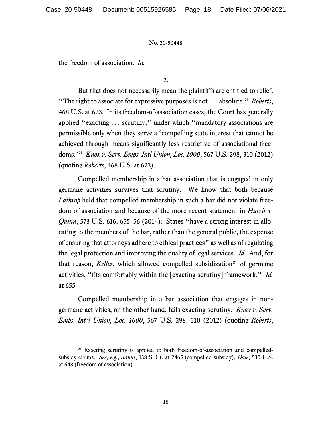the freedom of association. *Id.*

2.

But that does not necessarily mean the plaintiffs are entitled to relief. "The right to associate for expressive purposes is not . . . absolute." *Roberts*, 468 U.S. at 623. In its freedom-of-association cases, the Court has generally applied "exacting . . . scrutiny," under which "mandatory associations are permissible only when they serve a 'compelling state interest that cannot be achieved through means significantly less restrictive of associational freedoms.'" *Knox v. Serv. Emps. Intl Union, Loc. 1000*, 567 U.S. 298, 310 (2012) (quoting *Roberts*, 468 U.S. at 623).

Compelled membership in a bar association that is engaged in only germane activities survives that scrutiny. We know that both because *Lathrop* held that compelled membership in such a bar did not violate freedom of association and because of the more recent statement in *Harris v. Quinn*, 573 U.S. 616, 655–56 (2014): States "have a strong interest in allocating to the members of the bar, rather than the general public, the expense of ensuring that attorneys adhere to ethical practices" as well as of regulating the legal protection and improving the quality of legal services. *Id.* And, for that reason, *Keller*, which allowed compelled subsidization<sup>[21](#page-17-0)</sup> of germane activities, "fits comfortably within the [exacting scrutiny] framework." *Id.* at 655.

Compelled membership in a bar association that engages in nongermane activities, on the other hand, fails exacting scrutiny. *Knox v. Serv. Emps. Int'l Union, Loc. 1000*, 567 U.S. 298, 310 (2012) (quoting *Roberts*,

<span id="page-17-0"></span><sup>&</sup>lt;sup>21</sup> Exacting scrutiny is applied to both freedom-of-association and compelledsubsidy claims. *See, e.g.*, *Janus*, 138 S. Ct. at 2465 (compelled subsidy); *Dale*, 530 U.S. at 648 (freedom of association).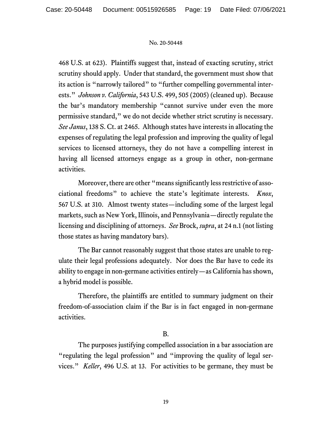468 U.S. at 623). Plaintiffs suggest that, instead of exacting scrutiny, strict scrutiny should apply. Under that standard, the government must show that its action is "narrowly tailored" to "further compelling governmental interests." *Johnson v. California*, 543 U.S. 499, 505 (2005) (cleaned up). Because the bar's mandatory membership "cannot survive under even the more permissive standard," we do not decide whether strict scrutiny is necessary. *See Janus*, 138 S. Ct. at 2465. Although states have interests in allocating the expenses of regulating the legal profession and improving the quality of legal services to licensed attorneys, they do not have a compelling interest in having all licensed attorneys engage as a group in other, non-germane activities.

Moreover, there are other "means significantly less restrictive of associational freedoms" to achieve the state's legitimate interests. *Knox*, 567 U.S. at 310. Almost twenty states—including some of the largest legal markets, such as New York, Illinois, and Pennsylvania—directly regulate the licensing and disciplining of attorneys. *See* Brock, *supra*, at 24 n.1 (not listing those states as having mandatory bars).

The Bar cannot reasonably suggest that those states are unable to regulate their legal professions adequately. Nor does the Bar have to cede its ability to engage in non-germane activities entirely—as California has shown, a hybrid model is possible.

Therefore, the plaintiffs are entitled to summary judgment on their freedom-of-association claim if the Bar is in fact engaged in non-germane activities.

# B.

The purposes justifying compelled association in a bar association are "regulating the legal profession" and "improving the quality of legal services." *Keller*, 496 U.S. at 13. For activities to be germane, they must be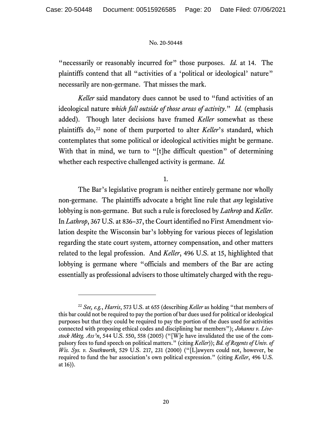"necessarily or reasonably incurred for" those purposes. *Id.* at 14. The plaintiffs contend that all "activities of a 'political or ideological' nature" necessarily are non-germane. That misses the mark.

*Keller* said mandatory dues cannot be used to "fund activities of an ideological nature *which fall outside of those areas of activity*." *Id.* (emphasis added). Though later decisions have framed *Keller* somewhat as these plaintiffs do,<sup>[22](#page-19-0)</sup> none of them purported to alter *Keller*'s standard, which contemplates that some political or ideological activities might be germane. With that in mind, we turn to "[t]he difficult question" of determining whether each respective challenged activity is germane. *Id.*

1.

The Bar's legislative program is neither entirely germane nor wholly non-germane. The plaintiffs advocate a bright line rule that *any* legislative lobbying is non-germane. But such a rule is foreclosed by *Lathrop* and *Keller.* In *Lathrop*, 367 U.S. at 836–37, the Court identified no First Amendment violation despite the Wisconsin bar's lobbying for various pieces of legislation regarding the state court system, attorney compensation, and other matters related to the legal profession. And *Keller*, 496 U.S. at 15, highlighted that lobbying is germane where "officials and members of the Bar are acting essentially as professional advisers to those ultimately charged with the regu-

<span id="page-19-0"></span><sup>22</sup> *See, e.g.*, *Harris*, 573 U.S. at 655 (describing *Keller* as holding "that members of this bar could not be required to pay the portion of bar dues used for political or ideological purposes but that they could be required to pay the portion of the dues used for activities connected with proposing ethical codes and disciplining bar members"); *Johanns v. Livestock Mktg. Ass'n*, 544 U.S. 550, 558 (2005) ("[W]e have invalidated the use of the compulsory fees to fund speech on political matters." (citing *Keller*)); *Bd. of Regents of Univ. of Wis. Sys. v. Southworth*, 529 U.S. 217, 231 (2000) ("[L]awyers could not, however, be required to fund the bar association's own political expression." (citing *Keller*, 496 U.S. at 16)).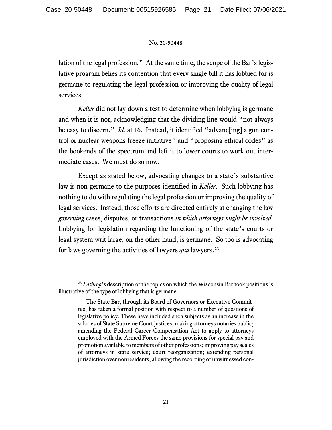lation of the legal profession." At the same time, the scope of the Bar's legislative program belies its contention that every single bill it has lobbied for is germane to regulating the legal profession or improving the quality of legal services.

*Keller* did not lay down a test to determine when lobbying is germane and when it is not, acknowledging that the dividing line would "not always be easy to discern." *Id.* at 16. Instead, it identified "advanc[ing] a gun control or nuclear weapons freeze initiative" and "proposing ethical codes" as the bookends of the spectrum and left it to lower courts to work out intermediate cases. We must do so now.

Except as stated below, advocating changes to a state's substantive law is non-germane to the purposes identified in *Keller*. Such lobbying has nothing to do with regulating the legal profession or improving the quality of legal services. Instead, those efforts are directed entirely at changing the law *governing* cases, disputes, or transactions *in which attorneys might be involved*. Lobbying for legislation regarding the functioning of the state's courts or legal system writ large, on the other hand, is germane. So too is advocating for laws governing the activities of lawyers *qua* lawyers. [23](#page-20-0)

<span id="page-20-0"></span><sup>&</sup>lt;sup>23</sup> *Lathrop*'s description of the topics on which the Wisconsin Bar took positions is illustrative of the type of lobbying that is germane:

The State Bar, through its Board of Governors or Executive Committee, has taken a formal position with respect to a number of questions of legislative policy. These have included such subjects as an increase in the salaries of State Supreme Court justices; making attorneys notaries public; amending the Federal Career Compensation Act to apply to attorneys employed with the Armed Forces the same provisions for special pay and promotion available to members of other professions; improving pay scales of attorneys in state service; court reorganization; extending personal jurisdiction over nonresidents; allowing the recording of unwitnessed con-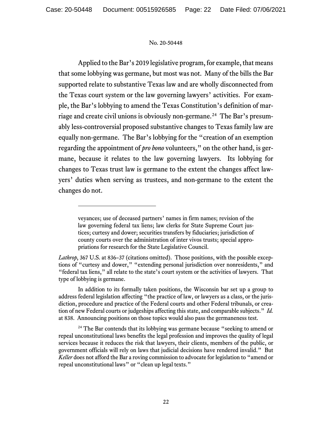Applied to the Bar's 2019 legislative program, for example, that means that some lobbying was germane, but most was not. Many of the bills the Bar supported relate to substantive Texas law and are wholly disconnected from the Texas court system or the law governing lawyers' activities. For example, the Bar's lobbying to amend the Texas Constitution's definition of marriage and create civil unions is obviously non-germane.[24](#page-21-0) The Bar's presumably less-controversial proposed substantive changes to Texas family law are equally non-germane. The Bar's lobbying for the "creation of an exemption regarding the appointment of *pro bono* volunteers," on the other hand, is germane, because it relates to the law governing lawyers. Its lobbying for changes to Texas trust law is germane to the extent the changes affect lawyers' duties when serving as trustees, and non-germane to the extent the changes do not.

veyances; use of deceased partners' names in firm names; revision of the law governing federal tax liens; law clerks for State Supreme Court justices; curtesy and dower; securities transfers by fiduciaries; jurisdiction of county courts over the administration of inter vivos trusts; special appropriations for research for the State Legislative Council.

*Lathrop*, 367 U.S. at 836–37 (citations omitted). Those positions, with the possible exceptions of "curtesy and dower," "extending personal jurisdiction over nonresidents," and "federal tax liens," all relate to the state's court system or the activities of lawyers. That type of lobbying is germane.

In addition to its formally taken positions, the Wisconsin bar set up a group to address federal legislation affecting "the practice of law, or lawyers as a class, or the jurisdiction, procedure and practice of the Federal courts and other Federal tribunals, or creation of new Federal courts or judgeships affecting this state, and comparable subjects." *Id.* at 838. Announcing positions on those topics would also pass the germaneness test.

<span id="page-21-0"></span> $24$  The Bar contends that its lobbying was germane because "seeking to amend or repeal unconstitutional laws benefits the legal profession and improves the quality of legal services because it reduces the risk that lawyers, their clients, members of the public, or government officials will rely on laws that judicial decisions have rendered invalid." But *Keller* does not afford the Bar a roving commission to advocate for legislation to "amend or repeal unconstitutional laws" or "clean up legal texts."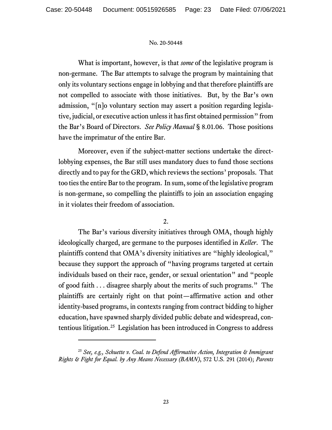What is important, however, is that *some* of the legislative program is non-germane. The Bar attempts to salvage the program by maintaining that only its voluntary sections engage in lobbying and that therefore plaintiffs are not compelled to associate with those initiatives. But, by the Bar's own admission, "[n]o voluntary section may assert a position regarding legislative, judicial, or executive action unless it has first obtained permission" from the Bar's Board of Directors. *See Policy Manual* § 8.01.06. Those positions have the imprimatur of the entire Bar.

Moreover, even if the subject-matter sections undertake the directlobbying expenses, the Bar still uses mandatory dues to fund those sections directly and to pay for the GRD, which reviews the sections' proposals. That too ties the entire Bar to the program.In sum, some of the legislative program is non-germane, so compelling the plaintiffs to join an association engaging in it violates their freedom of association.

# 2.

The Bar's various diversity initiatives through OMA, though highly ideologically charged, are germane to the purposes identified in *Keller*. The plaintiffs contend that OMA's diversity initiatives are "highly ideological," because they support the approach of "having programs targeted at certain individuals based on their race, gender, or sexual orientation" and "people of good faith . . . disagree sharply about the merits of such programs." The plaintiffs are certainly right on that point—affirmative action and other identity-based programs, in contexts ranging from contract bidding to higher education, have spawned sharply divided public debate and widespread, contentious litigation.[25](#page-22-0) Legislation has been introduced in Congress to address

<span id="page-22-0"></span><sup>25</sup> *See, e.g., Schuette v. Coal. to Defend Affirmative Action, Integration & Immigrant Rights & Fight for Equal. by Any Means Necessary (BAMN)*, 572 U.S. 291 (2014); *Parents*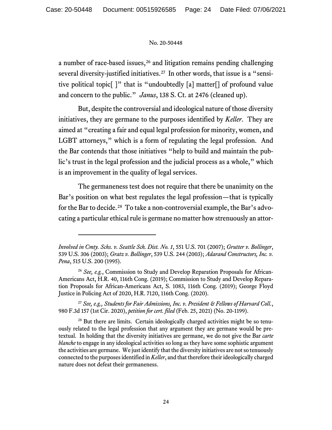a number of race-based issues, $26$  and litigation remains pending challenging several diversity-justified initiatives. [27](#page-23-1) In other words, that issue is a "sensitive political topic[ ]" that is "undoubtedly [a] matter[] of profound value and concern to the public." *Janus*, 138 S. Ct. at 2476 (cleaned up).

But, despite the controversial and ideological nature of those diversity initiatives, they are germane to the purposes identified by *Keller*. They are aimed at "creating a fair and equal legal profession for minority, women, and LGBT attorneys," which is a form of regulating the legal profession. And the Bar contends that those initiatives "help to build and maintain the public's trust in the legal profession and the judicial process as a whole," which is an improvement in the quality of legal services.

The germaneness test does not require that there be unanimity on the Bar's position on what best regulates the legal profession—that is typically for the Bar to decide.<sup>[28](#page-23-2)</sup> To take a non-controversial example, the Bar's advocating a particular ethical rule is germane no matter how strenuously an attor-

*Involved in Cmty. Schs. v. Seattle Sch. Dist. No. 1*, 551 U.S. 701 (2007); *Grutter v. Bollinger*, 539 U.S. 306 (2003); *Gratz v. Bollinger*, 539 U.S. 244 (2003); *Adarand Constructors, Inc. v. Pena*, 515 U.S. 200 (1995).

<span id="page-23-0"></span><sup>26</sup> *See, e.g.*, Commission to Study and Develop Reparation Proposals for African-Americans Act, H.R. 40, 116th Cong. (2019); Commission to Study and Develop Reparation Proposals for African-Americans Act, S. 1083, 116th Cong. (2019); George Floyd Justice in Policing Act of 2020, H.R. 7120, 116th Cong. (2020).

<span id="page-23-1"></span><sup>27</sup> *See, e.g., Students for Fair Admissions, Inc. v. President & Fellows of Harvard Coll.*, 980 F.3d 157 (1st Cir. 2020), *petition for cert. filed* (Feb. 25, 2021) (No. 20-1199).

<span id="page-23-2"></span><sup>&</sup>lt;sup>28</sup> But there are limits. Certain ideologically charged activities might be so tenuously related to the legal profession that any argument they are germane would be pretextual. In holding that the diversity initiatives are germane, we do not give the Bar *carte blanche* to engage in any ideological activities so long as they have some sophistic argument the activities are germane. We just identify that the diversity initiatives are not so tenuously connected to the purposes identified in *Keller*, and that therefore their ideologically charged nature does not defeat their germaneness.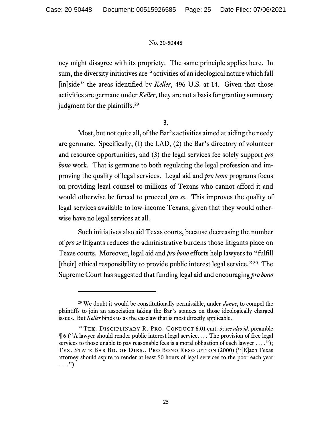ney might disagree with its propriety. The same principle applies here. In sum, the diversity initiatives are "activities of an ideological nature which fall [in]side" the areas identified by *Keller*, 496 U.S. at 14. Given that those activities are germane under *Keller*, they are not a basis for granting summary judgment for the plaintiffs.<sup>[29](#page-24-0)</sup>

3.

Most, but not quite all, of the Bar's activities aimed at aiding the needy are germane. Specifically, (1) the LAD, (2) the Bar's directory of volunteer and resource opportunities, and (3) the legal services fee solely support *pro bono* work. That is germane to both regulating the legal profession and improving the quality of legal services. Legal aid and *pro bono* programs focus on providing legal counsel to millions of Texans who cannot afford it and would otherwise be forced to proceed *pro se*. This improves the quality of legal services available to low-income Texans, given that they would otherwise have no legal services at all.

Such initiatives also aid Texas courts, because decreasing the number of *pro se* litigants reduces the administrative burdens those litigants place on Texas courts. Moreover, legal aid and *pro bono* efforts help lawyers to "fulfill [their] ethical responsibility to provide public interest legal service."<sup>30</sup> The Supreme Court has suggested that funding legal aid and encouraging *pro bono*

<span id="page-24-0"></span><sup>29</sup> We doubt it would be constitutionally permissible, under *Janus*, to compel the plaintiffs to join an association taking the Bar's stances on those ideologically charged issues. But *Keller* binds us as the caselaw that is most directly applicable.

<span id="page-24-1"></span><sup>&</sup>lt;sup>30</sup> TEX. DISCIPLINARY R. PRO. CONDUCT 6.01 cmt. 5; see also id. preamble ¶ 6 ("A lawyer should render public interest legal service. . . . The provision of free legal services to those unable to pay reasonable fees is a moral obligation of each lawyer  $\dots$ ."); TEX. STATE BAR BD. OF DIRS., PRO BONO RESOLUTION (2000) ("[E]ach Texas attorney should aspire to render at least 50 hours of legal services to the poor each year  $\ldots$ .").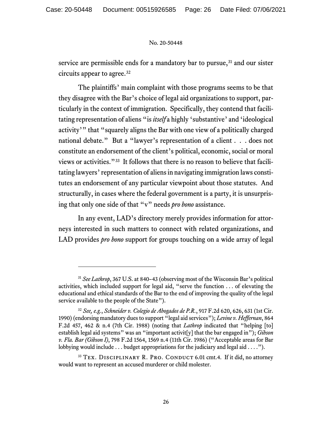service are permissible ends for a mandatory bar to pursue, $31$  and our sister circuits appear to agree.[32](#page-25-1) 

The plaintiffs' main complaint with those programs seems to be that they disagree with the Bar's choice of legal aid organizations to support, particularly in the context of immigration. Specifically, they contend that facilitating representation of aliens "is *itself* a highly 'substantive' and 'ideological activity'" that "squarely aligns the Bar with one view of a politically charged national debate." But a "lawyer's representation of a client . . . does not constitute an endorsement of the client's political, economic, social or moral views or activities."[33](#page-25-2) It follows that there is no reason to believe that facilitating lawyers' representation of aliens in navigating immigration laws constitutes an endorsement of any particular viewpoint about those statutes. And structurally, in cases where the federal government is a party, it is unsurprising that only one side of that "v" needs *pro bono* assistance.

In any event, LAD's directory merely provides information for attorneys interested in such matters to connect with related organizations, and LAD provides *pro bono* support for groups touching on a wide array of legal

<span id="page-25-0"></span><sup>31</sup> *See Lathrop*, 367 U.S. at 840–43 (observing most of the Wisconsin Bar's political activities, which included support for legal aid, "serve the function . . . of elevating the educational and ethical standards of the Bar to the end of improving the quality of the legal service available to the people of the State").

<span id="page-25-1"></span><sup>32</sup> *See, e.g.*, *Schneider v. Colegio de Abogados de P.R.*, 917 F.2d 620, 626, 631 (1st Cir. 1990) (endorsing mandatory dues to support "legal aid services"); *Levine v. Heffernan*, 864 F.2d 457, 462 & n.4 (7th Cir. 1988) (noting that *Lathrop* indicated that "helping [to] establish legal aid systems" was an "important activit[y] that the bar engaged in"); *Gibson v. Fla. Bar (Gibson I)*, 798 F.2d 1564, 1569 n.4 (11th Cir. 1986) ("Acceptable areas for Bar lobbying would include . . . budget appropriations for the judiciary and legal aid . . . .").

<span id="page-25-2"></span><sup>&</sup>lt;sup>33</sup> TEX. DISCIPLINARY R. PRO. CONDUCT 6.01 cmt.4. If it did, no attorney would want to represent an accused murderer or child molester.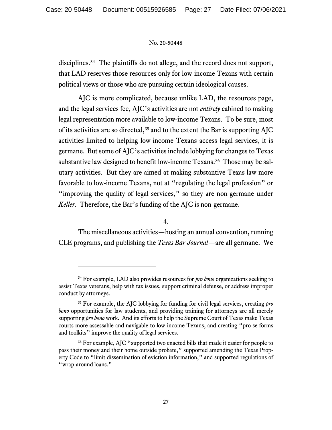disciplines.<sup>[34](#page-26-0)</sup> The plaintiffs do not allege, and the record does not support, that LAD reserves those resources only for low-income Texans with certain political views or those who are pursuing certain ideological causes.

AJC is more complicated, because unlike LAD, the resources page, and the legal services fee, AJC's activities are not *entirely* cabined to making legal representation more available to low-income Texans. To be sure, most of its activities are so directed,  $35$  and to the extent the Bar is supporting AJC activities limited to helping low-income Texans access legal services, it is germane. But some of AJC's activities include lobbying for changes to Texas substantive law designed to benefit low-income Texans.<sup>[36](#page-26-2)</sup> Those may be salutary activities. But they are aimed at making substantive Texas law more favorable to low-income Texans, not at "regulating the legal profession" or "improving the quality of legal services," so they are non-germane under *Keller*. Therefore, the Bar's funding of the AJC is non-germane.

4.

The miscellaneous activities—hosting an annual convention, running CLE programs, and publishing the *Texas Bar Journal*—are all germane. We

<span id="page-26-0"></span><sup>34</sup> For example, LAD also provides resources for *pro bono* organizations seeking to assist Texas veterans, help with tax issues, support criminal defense, or address improper conduct by attorneys.

<span id="page-26-1"></span><sup>35</sup> For example, the AJC lobbying for funding for civil legal services, creating *pro bono* opportunities for law students, and providing training for attorneys are all merely supporting *pro bono* work. And its efforts to help the Supreme Court of Texas make Texas courts more assessable and navigable to low-income Texans, and creating "pro se forms and toolkits" improve the quality of legal services.

<span id="page-26-2"></span><sup>&</sup>lt;sup>36</sup> For example, AJC "supported two enacted bills that made it easier for people to pass their money and their home outside probate," supported amending the Texas Property Code to "limit dissemination of eviction information," and supported regulations of "wrap-around loans."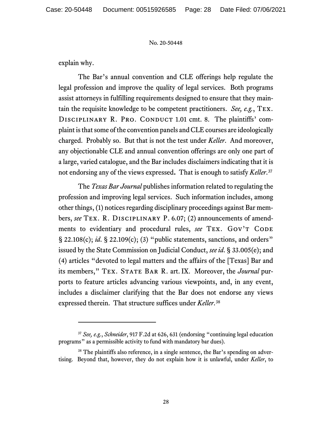explain why.

The Bar's annual convention and CLE offerings help regulate the legal profession and improve the quality of legal services. Both programs assist attorneys in fulfilling requirements designed to ensure that they maintain the requisite knowledge to be competent practitioners. *See, e.g.*, Tex. DISCIPLINARY R. PRO. CONDUCT 1.01 cmt. 8. The plaintiffs' complaint is that some of the convention panels and CLE courses are ideologically charged. Probably so. But that is not the test under *Keller*. And moreover, any objectionable CLE and annual convention offerings are only one part of a large, varied catalogue, and the Bar includes disclaimers indicating that it is not endorsing any of the views expressed**.** That is enough to satisfy *Keller*. [37](#page-27-0)

The *Texas Bar Journal* publishes information related to regulating the profession and improving legal services. Such information includes, among other things, (1) notices regarding disciplinary proceedings against Bar members, *see* Tex. R. Disciplinary P. 6.07; (2) announcements of amendments to evidentiary and procedural rules, see TEX. GOV'T CODE § 22.108(c); *id*. § 22.109(c); (3) "public statements, sanctions, and orders" issued by the State Commission on Judicial Conduct, *see id*. § 33.005(e); and (4) articles "devoted to legal matters and the affairs of the [Texas] Bar and its members," Tex. State Bar R. art. IX. Moreover, the *Journal* purports to feature articles advancing various viewpoints, and, in any event, includes a disclaimer clarifying that the Bar does not endorse any views expressed therein. That structure suffices under *Keller*.[38](#page-27-1)

<span id="page-27-0"></span><sup>37</sup> *See, e.g.*, *Schneider*, 917 F.2d at 626, 631 (endorsing "continuing legal education programs" as a permissible activity to fund with mandatory bar dues).

<span id="page-27-1"></span><sup>&</sup>lt;sup>38</sup> The plaintiffs also reference, in a single sentence, the Bar's spending on advertising. Beyond that, however, they do not explain how it is unlawful, under *Keller*, to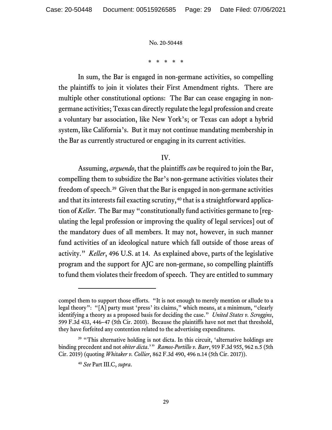\* \* \* \* \*

In sum, the Bar is engaged in non-germane activities, so compelling the plaintiffs to join it violates their First Amendment rights. There are multiple other constitutional options: The Bar can cease engaging in nongermane activities; Texas can directly regulate the legal profession and create a voluntary bar association, like New York's; or Texas can adopt a hybrid system, like California's. But it may not continue mandating membership in the Bar as currently structured or engaging in its current activities.

## IV.

Assuming, *arguendo*, that the plaintiffs *can* be required to join the Bar, compelling them to subsidize the Bar's non-germane activities violates their freedom of speech.[39](#page-28-0) Given that the Bar is engaged in non-germane activities and that its interests fail exacting scrutiny, [40](#page-28-1) that is a straightforward application of *Keller*. The Bar may "constitutionally fund activities germane to [regulating the legal profession or improving the quality of legal services] out of the mandatory dues of all members. It may not, however, in such manner fund activities of an ideological nature which fall outside of those areas of activity." *Keller*, 496 U.S. at 14. As explained above, parts of the legislative program and the support for AJC are non-germane, so compelling plaintiffs to fund them violates their freedom of speech. They are entitled to summary

compel them to support those efforts. "It is not enough to merely mention or allude to a legal theory": "[A] party must 'press' its claims," which means, at a minimum, "clearly identifying a theory as a proposed basis for deciding the case." *United States v. Scroggins*, 599 F.3d 433, 446–47 (5th Cir. 2010). Because the plaintiffs have not met that threshold, they have forfeited any contention related to the advertising expenditures.

<span id="page-28-1"></span><span id="page-28-0"></span><sup>&</sup>lt;sup>39</sup> "This alternative holding is not dicta. In this circuit, 'alternative holdings are binding precedent and not *obiter dicta*.'" *Ramos-Portillo v. Barr*, 919 F.3d 955, 962 n.5 (5th Cir. 2019) (quoting *Whitaker v. Collier*, 862 F.3d 490, 496 n.14 (5th Cir. 2017)).

<sup>40</sup> *See* Part III.C, *supra*.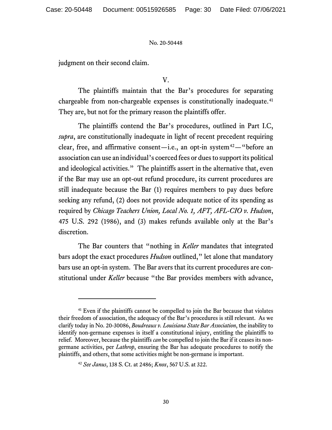judgment on their second claim.

V.

The plaintiffs maintain that the Bar's procedures for separating chargeable from non-chargeable expenses is constitutionally inadequate.<sup>[41](#page-29-0)</sup> They are, but not for the primary reason the plaintiffs offer.

The plaintiffs contend the Bar's procedures, outlined in Part I.C, *supra*, are constitutionally inadequate in light of recent precedent requiring clear, free, and affirmative consent—i.e., an opt-in system<sup>42</sup>— "before an association can use an individual's coerced fees or dues to support its political and ideological activities." The plaintiffs assert in the alternative that, even if the Bar may use an opt-out refund procedure, its current procedures are still inadequate because the Bar (1) requires members to pay dues before seeking any refund, (2) does not provide adequate notice of its spending as required by *Chicago Teachers Union, Local No. 1, AFT, AFL-CIO v. Hudson*, 475 U.S. 292 (1986), and (3) makes refunds available only at the Bar's discretion.

The Bar counters that "nothing in *Keller* mandates that integrated bars adopt the exact procedures *Hudson* outlined," let alone that mandatory bars use an opt-in system. The Bar avers that its current procedures are constitutional under *Keller* because "the Bar provides members with advance,

<span id="page-29-0"></span><sup>&</sup>lt;sup>41</sup> Even if the plaintiffs cannot be compelled to join the Bar because that violates their freedom of association, the adequacy of the Bar's procedures is still relevant. As we clarify today in No. 20-30086, *Boudreaux v. Louisiana State Bar Association*, the inability to identify non-germane expenses is itself a constitutional injury, entitling the plaintiffs to relief. Moreover, because the plaintiffs *can* be compelled to join the Bar if it ceases its nongermane activities, per *Lathrop*, ensuring the Bar has adequate procedures to notify the plaintiffs, and others, that some activities might be non-germane is important.

<span id="page-29-1"></span><sup>42</sup> *See Janus*, 138 S. Ct. at 2486; *Knox*, 567 U.S. at 322.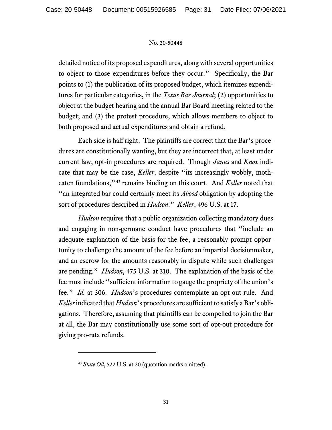detailed notice of its proposed expenditures, along with several opportunities to object to those expenditures before they occur." Specifically, the Bar points to (1) the publication of its proposed budget, which itemizes expenditures for particular categories, in the *Texas Bar Journal*; (2) opportunities to object at the budget hearing and the annual Bar Board meeting related to the budget; and (3) the protest procedure, which allows members to object to both proposed and actual expenditures and obtain a refund.

Each side is half right. The plaintiffs are correct that the Bar's procedures are constitutionally wanting, but they are incorrect that, at least under current law, opt-in procedures are required. Though *Janus* and *Knox* indicate that may be the case, *Keller*, despite "its increasingly wobbly, motheaten foundations,"[43](#page-30-0) remains binding on this court. And *Keller* noted that "an integrated bar could certainly meet its *Abood* obligation by adopting the sort of procedures described in *Hudson*." *Keller*, 496 U.S. at 17.

*Hudson* requires that a public organization collecting mandatory dues and engaging in non-germane conduct have procedures that "include an adequate explanation of the basis for the fee, a reasonably prompt opportunity to challenge the amount of the fee before an impartial decisionmaker, and an escrow for the amounts reasonably in dispute while such challenges are pending." *Hudson*, 475 U.S. at 310. The explanation of the basis of the fee must include "sufficient information to gauge the propriety of the union's fee." *Id.* at 306. *Hudson*'s procedures contemplate an opt-out rule. And *Keller* indicated that *Hudson*'s procedures are sufficient to satisfy a Bar's obligations. Therefore, assuming that plaintiffs can be compelled to join the Bar at all, the Bar may constitutionally use some sort of opt-out procedure for giving pro-rata refunds.

<span id="page-30-0"></span><sup>&</sup>lt;sup>43</sup> *State Oil*, 522 U.S. at 20 (quotation marks omitted).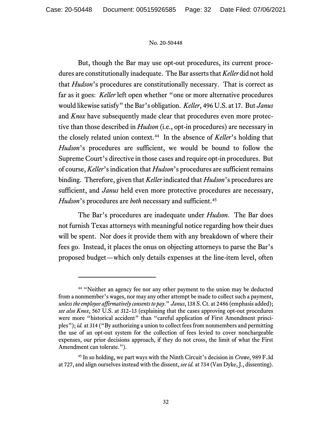But, though the Bar may use opt-out procedures, its current procedures are constitutionally inadequate. The Bar asserts that *Keller* did not hold that *Hudson*'s procedures are constitutionally necessary. That is correct as far as it goes: *Keller* left open whether "one or more alternative procedures would likewise satisfy" the Bar's obligation. *Keller*, 496 U.S. at 17. But *Janus*  and *Knox* have subsequently made clear that procedures even more protective than those described in *Hudson* (i.e., opt-in procedures) are necessary in the closely related union context.<sup>44</sup> In the absence of *Keller*'s holding that *Hudson*'s procedures are sufficient, we would be bound to follow the Supreme Court's directive in those cases and require opt-in procedures. But of course, *Keller*'s indication that *Hudson*'s procedures are sufficient remains binding. Therefore, given that *Keller* indicated that *Hudson*'s procedures are sufficient, and *Janus* held even more protective procedures are necessary, *Hudson*'s procedures are *both* necessary and sufficient. [45](#page-31-1)

The Bar's procedures are inadequate under *Hudson*. The Bar does not furnish Texas attorneys with meaningful notice regarding how their dues will be spent. Nor does it provide them with any breakdown of where their fees go. Instead, it places the onus on objecting attorneys to parse the Bar's proposed budget—which only details expenses at the line-item level, often

<span id="page-31-0"></span><sup>&</sup>lt;sup>44</sup> "Neither an agency fee nor any other payment to the union may be deducted from a nonmember's wages, nor may any other attempt be made to collect such a payment, *unless the employee affirmatively consents to pay*." *Janus*, 138 S. Ct. at 2486 (emphasis added); *see also Knox*, 567 U.S. at 312–13 (explaining that the cases approving opt-out procedures were more "historical accident" than "careful application of First Amendment principles"); *id.* at 314 ("By authorizing a union to collect fees from nonmembers and permitting the use of an opt-out system for the collection of fees levied to cover nonchargeable expenses, our prior decisions approach, if they do not cross, the limit of what the First Amendment can tolerate.").

<span id="page-31-1"></span><sup>45</sup> In so holding, we part ways with the Ninth Circuit's decision in *Crowe*, 989 F.3d at 727, and align ourselves instead with the dissent, *see id.* at 734 (Van Dyke, J., dissenting).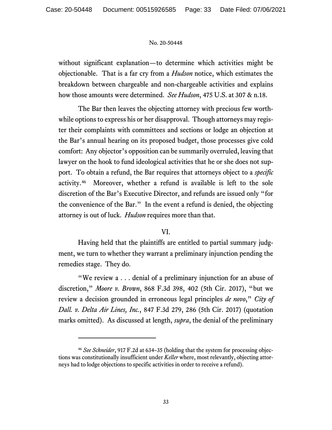without significant explanation—to determine which activities might be objectionable. That is a far cry from a *Hudson* notice, which estimates the breakdown between chargeable and non-chargeable activities and explains how those amounts were determined. *See Hudson*, 475 U.S. at 307 & n.18.

The Bar then leaves the objecting attorney with precious few worthwhile options to express his or her disapproval. Though attorneys may register their complaints with committees and sections or lodge an objection at the Bar's annual hearing on its proposed budget, those processes give cold comfort: Any objector's opposition can be summarily overruled, leaving that lawyer on the hook to fund ideological activities that he or she does not support. To obtain a refund, the Bar requires that attorneys object to a *specific*  activity. [46](#page-32-0) Moreover, whether a refund is available is left to the sole discretion of the Bar's Executive Director, and refunds are issued only "for the convenience of the Bar." In the event a refund is denied, the objecting attorney is out of luck. *Hudson* requires more than that.

## VI.

Having held that the plaintiffs are entitled to partial summary judgment, we turn to whether they warrant a preliminary injunction pending the remedies stage. They do.

"We review a . . . denial of a preliminary injunction for an abuse of discretion," *Moore v. Brown*, 868 F.3d 398, 402 (5th Cir. 2017), "but we review a decision grounded in erroneous legal principles *de novo*," *City of Dall. v. Delta Air Lines, Inc.*, 847 F.3d 279, 286 (5th Cir. 2017) (quotation marks omitted). As discussed at length, *supra*, the denial of the preliminary

<span id="page-32-0"></span><sup>46</sup> *See Schneider*, 917 F.2d at 634–35 (holding that the system for processing objections was constitutionally insufficient under *Keller* where, most relevantly, objecting attorneys had to lodge objections to specific activities in order to receive a refund).